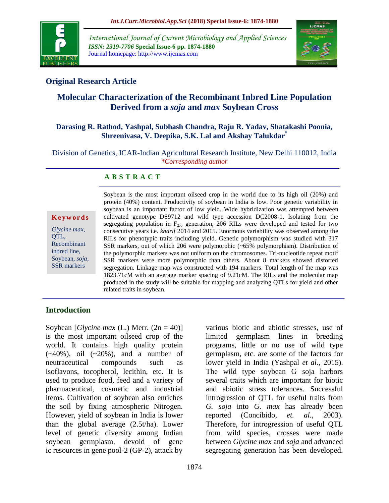

*International Journal of Current Microbiology and Applied Sciences ISSN: 2319-7706* **Special Issue-6 pp. 1874-1880** Journal homepage: http://www.ijcmas.com



# **Original Research Article**

# **Molecular Characterization of the Recombinant Inbred Line Population Derived from a** *soja* **and** *max* **Soybean Cross**

### **Darasing R. Rathod, Yashpal, Subhash Chandra, Raju R. Yadav, Shatakashi Poonia, Shreenivasa, V. Deepika, S.K. Lal and Akshay Talukdar\***

Division of Genetics, ICAR-Indian Agricultural Research Institute, New Delhi 110012, India *\*Corresponding author*

### **A B S T R A C T**

**K e y w o r d s**

*Glycine max*, OTL. Recombinant inbred line, Soybean, *soja*, SSR markers

Soybean is the most important oilseed crop in the world due to its high oil (20%) and protein (40%) content. Productivity of soybean in India is low. Poor genetic variability in soybean is an important factor of low yield. Wide hybridization was attempted between cultivated genotype DS9712 and wild type accession DC2008-1. Isolating from the segregating population in  $F_{2:6}$  generation, 206 RILs were developed and tested for two consecutive years i.e. *kharif* 2014 and 2015. Enormous variability was observed among the RILs for phenotypic traits including yield. Genetic polymorphism was studied with 317 SSR markers, out of which 206 were polymorphic (~65% polymorphism). Distribution of the polymorphic markers was not uniform on the chromosomes. Tri-nucleotide repeat motif SSR markers were more polymorphic than others. About 8 markers showed distorted segregation. Linkage map was constructed with 194 markers. Total length of the map was 1823.71cM with an average marker spacing of 9.21cM. The RILs and the molecular map produced in the study will be suitable for mapping and analyzing QTLs for yield and other related traits in soybean.

# **Introduction**

Soybean [*Glycine max* (L.) Merr. (2n = 40)] is the most important oilseed crop of the world. It contains high quality protein  $(-40\%)$ , oil  $(-20\%)$ , and a number of neutraceutical compounds such as isoflavons, tocopherol, lecithin, etc. It is used to produce food, feed and a variety of pharmaceutical, cosmetic and industrial items. Cultivation of soybean also enriches the soil by fixing atmospheric Nitrogen. However, yield of soybean in India is lower than the global average (2.5t/ha). Lower level of genetic diversity among Indian soybean germplasm, devoid of gene ic resources in gene pool-2 (GP-2), attack by

various biotic and abiotic stresses, use of limited germplasm lines in breeding programs, little or no use of wild type germplasm, etc. are some of the factors for lower yield in India (Yashpal *et al.,* 2015). The wild type soybean G soja harbors several traits which are important for biotic and abiotic stress tolerances. Successful introgression of QTL for useful traits from *G. soja* into *G. max* has already been reported (Concibido, *et. al.*, 2003). Therefore, for introgression of useful QTL from wild species, crosses were made between *Glycine max* and *soja* and advanced segregating generation has been developed.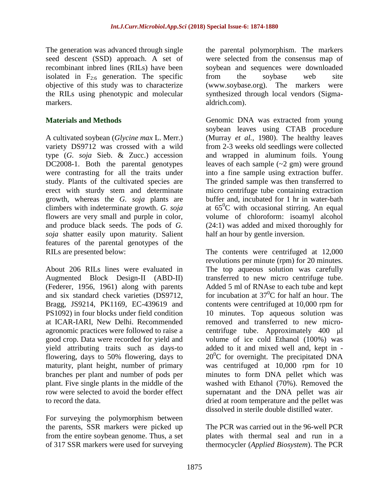The generation was advanced through single seed descent (SSD) approach. A set of recombinant inbred lines (RILs) have been isolated in  $F_{2:6}$  generation. The specific objective of this study was to characterize the RILs using phenotypic and molecular markers.

# **Materials and Methods**

A cultivated soybean (*Glycine max* L. Merr.) variety DS9712 was crossed with a wild type (*G. soja* Sieb. & Zucc.) accession DC2008-1. Both the parental genotypes were contrasting for all the traits under study. Plants of the cultivated species are erect with sturdy stem and determinate growth, whereas the *G. soja* plants are climbers with indeterminate growth. *G. soja* flowers are very small and purple in color, and produce black seeds. The pods of *G. soja* shatter easily upon maturity. Salient features of the parental genotypes of the RILs are presented below:

About 206 RILs lines were evaluated in Augmented Block Design-II (ABD-II) (Federer, 1956, 1961) along with parents and six standard check varieties (DS9712, Bragg, JS9214, PK1169, EC-439619 and PS1092) in four blocks under field condition at ICAR-IARI, New Delhi. Recommended agronomic practices were followed to raise a good crop. Data were recorded for yield and yield attributing traits such as days-to flowering, days to 50% flowering, days to maturity, plant height, number of primary branches per plant and number of pods per plant. Five single plants in the middle of the row were selected to avoid the border effect to record the data.

For surveying the polymorphism between the parents, SSR markers were picked up from the entire soybean genome. Thus, a set of 317 SSR markers were used for surveying

the parental polymorphism. The markers were selected from the consensus map of soybean and sequences were downloaded from the soybase web site (www.soybase.org). The markers were synthesized through local vendors (Sigmaaldrich.com).

Genomic DNA was extracted from young soybean leaves using CTAB procedure (Murray *et al.,* 1980). The healthy leaves from 2-3 weeks old seedlings were collected and wrapped in aluminum foils. Young leaves of each sample  $(-2 \text{ gm})$  were ground into a fine sample using extraction buffer. The grinded sample was then transferred to micro centrifuge tube containing extraction buffer and, incubated for 1 hr in water-bath at  $65^{\circ}$ C with occasional stirring. An equal volume of chloroform: isoamyl alcohol (24:1) was added and mixed thoroughly for half an hour by gentle inversion.

The contents were centrifuged at 12,000 revolutions per minute (rpm) for 20 minutes. The top aqueous solution was carefully transferred to new micro centrifuge tube. Added 5 ml of RNAse to each tube and kept for incubation at  $37^0C$  for half an hour. The contents were centrifuged at 10,000 rpm for 10 minutes. Top aqueous solution was removed and transferred to new microcentrifuge tube. Approximately 400 μl volume of ice cold Ethanol (100%) was added to it and mixed well and, kept in -  $20^{\circ}$ C for overnight. The precipitated DNA was centrifuged at 10,000 rpm for 10 minutes to form DNA pellet which was washed with Ethanol (70%). Removed the supernatant and the DNA pellet was air dried at room temperature and the pellet was dissolved in sterile double distilled water.

The PCR was carried out in the 96-well PCR plates with thermal seal and run in a thermocycler (*Applied Biosystem*). The PCR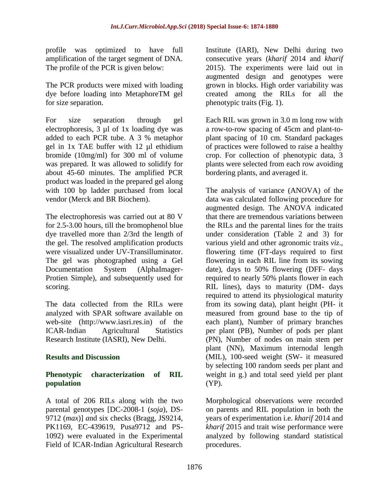profile was optimized to have full amplification of the target segment of DNA. The profile of the PCR is given below:

The PCR products were mixed with loading dye before loading into MetaphoreTM gel for size separation.

For size separation through gel electrophoresis, 3 µl of 1x loading dye was added to each PCR tube. A 3 % metaphor gel in 1x TAE buffer with 12 µl ethidium bromide (10mg/ml) for 300 ml of volume was prepared. It was allowed to solidify for about 45-60 minutes. The amplified PCR product was loaded in the prepared gel along with 100 bp ladder purchased from local vendor (Merck and BR Biochem).

The electrophoresis was carried out at 80 V for 2.5-3.00 hours, till the bromophenol blue dye travelled more than 2/3rd the length of the gel. The resolved amplification products were visualized under UV-Transilluminator. The gel was photographed using a Gel Documentation System (AlphaImager-Protien Simple), and subsequently used for scoring.

The data collected from the RILs were analyzed with SPAR software available on web-site (http://www.iasri.res.in) of the ICAR-Indian Agricultural Statistics Research Institute (IASRI), New Delhi.

# **Results and Discussion**

### **Phenotypic characterization of RIL population**

A total of 206 RILs along with the two parental genotypes [DC-2008-1 (*soja*), DS-9712 (*max*)] *a*nd six checks (Bragg, JS9214, PK1169, EC-439619, Pusa9712 and PS-1092) were evaluated in the Experimental Field of ICAR-Indian Agricultural Research Institute (IARI), New Delhi during two consecutive years (*kharif* 2014 and *kharif* 2015). The experiments were laid out in augmented design and genotypes were grown in blocks. High order variability was created among the RILs for all the phenotypic traits (Fig. 1).

Each RIL was grown in 3.0 m long row with a row-to-row spacing of 45cm and plant-toplant spacing of 10 cm. Standard packages of practices were followed to raise a healthy crop. For collection of phenotypic data, 3 plants were selected from each row avoiding bordering plants, and averaged it.

The analysis of variance (ANOVA) of the data was calculated following procedure for augmented design. The ANOVA indicated that there are tremendous variations between the RILs and the parental lines for the traits under consideration (Table 2 and 3) for various yield and other agronomic traits *viz*., flowering time (FT-days required to first flowering in each RIL line from its sowing date), days to 50% flowering (DFF- days required to nearly 50% plants flower in each RIL lines), days to maturity (DM- days required to attend its physiological maturity from its sowing data), plant height (PH- it measured from ground base to the tip of each plant), Number of primary branches per plant (PB), Number of pods per plant (PN), Number of nodes on main stem per plant (NN), Maximum internodal length (MIL), 100-seed weight (SW- it measured by selecting 100 random seeds per plant and weight in g.) and total seed yield per plant (YP).

Morphological observations were recorded on parents and RIL population in both the years of experimentation i.e. *kharif* 2014 and *kharif* 2015 and trait wise performance were analyzed by following standard statistical procedures.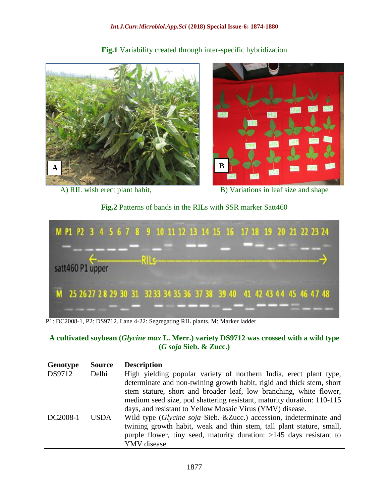#### *Int.J.Curr.Microbiol.App.Sci* **(2018) Special Issue-6: 1874-1880**



**Fig.1** Variability created through inter-specific hybridization

A) RIL wish erect plant habit, B) Variations in leaf size and shape

**Fig.2** Patterns of bands in the RILs with SSR marker Satt460



P1: DC2008-1, P2: DS9712. Lane 4-22: Segregating RIL plants. M: Marker ladder

### **A cultivated soybean (***Glycine max* **L. Merr.) variety DS9712 was crossed with a wild type (***G soja* **Sieb. & Zucc.)**

| Genotype | <b>Source</b> | <b>Description</b>                                                     |
|----------|---------------|------------------------------------------------------------------------|
| DS9712   | Delhi         | High yielding popular variety of northern India, erect plant type,     |
|          |               | determinate and non-twining growth habit, rigid and thick stem, short  |
|          |               | stem stature, short and broader leaf, low branching, white flower,     |
|          |               | medium seed size, pod shattering resistant, maturity duration: 110-115 |
|          |               | days, and resistant to Yellow Mosaic Virus (YMV) disease.              |
| DC2008-1 | <b>USDA</b>   | Wild type (Glycine soja Sieb. & Zucc.) accession, indeterminate and    |
|          |               | twining growth habit, weak and thin stem, tall plant stature, small,   |
|          |               | purple flower, tiny seed, maturity duration: $>145$ days resistant to  |
|          |               | YMV disease.                                                           |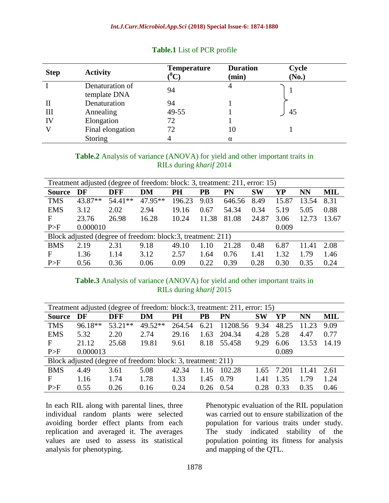| <b>Step</b> | <b>Activity</b>                 | <b>Temperature</b><br>$(^0\mathrm{C})$ | <b>Duration</b><br>(min) | <b>Cycle</b><br>(No.) |
|-------------|---------------------------------|----------------------------------------|--------------------------|-----------------------|
|             | Denaturation of<br>template DNA | 94                                     | 4                        |                       |
| Н           | Denaturation                    | 94                                     |                          |                       |
| III         | Annealing                       | 49-55                                  |                          | 45                    |
| IV          | Elongation                      | 72                                     |                          |                       |
|             | Final elongation                | 72                                     | 10                       |                       |
|             | Storing                         |                                        | α                        |                       |

### **Table.1** List of PCR profile

### **Table.2** Analysis of variance (ANOVA) for yield and other important traits in RILs during *kharif* 2014

| Treatment adjusted (degree of freedom: block: 3, treatment: 211, error: 15) |          |            |         |        |       |        |           |       |       |       |
|-----------------------------------------------------------------------------|----------|------------|---------|--------|-------|--------|-----------|-------|-------|-------|
| <b>Source</b>                                                               | DF       | <b>DFF</b> | DM      | PH     | PB    | PN     | <b>SW</b> | YP    | NN    | MIL   |
| <b>TMS</b>                                                                  | 43.87**  | 54.41**    | 47.95** | 196.23 | 9.03  | 646.56 | 8.49      | 15.87 | 13.54 | 8.31  |
| <b>EMS</b>                                                                  | 3.12     | 2.02       | 2.94    | 19.16  | 0.67  | 54.34  | 0.34      | 5.19  | 5.05  | 0.88  |
| F                                                                           | 23.76    | 26.98      | 16.28   | 10.24  | 11.38 | 81.08  | 24.87     | 3.06  | 12.73 | 13.67 |
| P>F                                                                         | 0.000010 |            |         |        |       |        |           | 0.009 |       |       |
| Block adjusted (degree of freedom: block:3, treatment: 211)                 |          |            |         |        |       |        |           |       |       |       |
| <b>BMS</b>                                                                  | 2.19     | 2.31       | 9.18    | 49.10  | 1.10  | 21.28  | 0.48      | 6.87  | 11.41 | 2.08  |
| F                                                                           | 1.36     | 1.14       | 3.12    | 2.57   | 1.64  | 0.76   | 1.41      | 1.32  | 1.79  | 1.46  |
| P>F                                                                         | 0.56     | 0.36       | 0.06    | 0.09   | 0.22  | 0.39   | 0.28      | 0.30  | 0.35  | 0.24  |

### **Table.3** Analysis of variance (ANOVA) for yield and other important traits in RILs during *kharif* 2015

| Treatment adjusted (degree of freedom: block:3, treatment: 211, error: 15) |          |            |         |        |           |          |           |       |       |            |
|----------------------------------------------------------------------------|----------|------------|---------|--------|-----------|----------|-----------|-------|-------|------------|
| <b>Source</b>                                                              | DF       | <b>DFF</b> | DM      | PH     | <b>PB</b> | PN       | <b>SW</b> | YP    | NN    | <b>MIL</b> |
| <b>TMS</b>                                                                 | 96.18**  | $53.21**$  | 49.52** | 264.54 | 6.21      | 11208.56 | 9.34      | 48.25 | 11.23 | 9.09       |
| <b>EMS</b>                                                                 | 5.32     | 2.20       | 2.74    | 29.16  | 1.63      | 204.34   | 4.28      | 5.28  | 4.47  | 0.77       |
| F                                                                          | 21.12    | 25.68      | 19.81   | 9.61   | 8.18      | 55.458   | 9.29      | 6.06  | 13.53 | 14.19      |
| P>F                                                                        | 0.000013 |            |         |        |           |          |           | 0.089 |       |            |
| Block adjusted (degree of freedom: block: 3, treatment: 211)               |          |            |         |        |           |          |           |       |       |            |
| <b>BMS</b>                                                                 | 4.49     | 3.61       | 5.08    | 42.34  | 1.16      | 102.28   | 1.65      | 7.201 | 11.41 | 2.61       |
| $\mathbf{F}$                                                               | 1.16     | 1.74       | 1.78    | 1.33   | 1.45      | 0.79     | 1.41      | 1.35  | 1.79  | 1.24       |
| P>F                                                                        | 0.55     | 0.26       | 0.16    | 0.24   | 0.26      | 0.54     | 0.28      | 0.33  | 0.35  | 0.46       |

In each RIL along with parental lines, three individual random plants were selected avoiding border effect plants from each replication and averaged it. The averages values are used to assess its statistical analysis for phenotyping.

Phenotypic evaluation of the RIL population was carried out to ensure stabilization of the population for various traits under study. The study indicated stability of the population pointing its fitness for analysis and mapping of the QTL.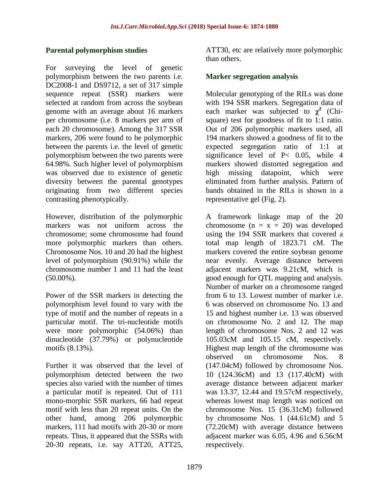### **Parental polymorphism studies**

For surveying the level of genetic polymorphism between the two parents i.e. DC2008-1 and DS9712, a set of 317 simple sequence repeat (SSR) markers were selected at random from across the soybean genome with an average about 16 markers per chromosome (i.e. 8 markers per arm of each 20 chromosome). Among the 317 SSR markers, 206 were found to be polymorphic between the parents i.e. the level of genetic polymorphism between the two parents were 64.98%. Such higher level of polymorphism was observed due to existence of genetic diversity between the parental genotypes originating from two different species contrasting phenotypically.

However, distribution of the polymorphic markers was not uniform across the chromosome; some chromosome had found more polymorphic markers than others. Chromosome Nos. 10 and 20 had the highest level of polymorphism (90.91%) while the chromosome number 1 and 11 had the least  $(50.00\%)$ .

Power of the SSR markers in detecting the polymorphism level found to vary with the type of motif and the number of repeats in a particular motif. The tri-nucleotide motifs were more polymorphic (54.06%) than dinucleotide (37.79%) or polynucleotide motifs (8.13%).

Further it was observed that the level of polymorphism detected between the two species also varied with the number of times a particular motif is repeated. Out of 111 mono-morphic SSR markers, 66 had repeat motif with less than 20 repeat units. On the other hand, among 206 polymorphic markers, 111 had motifs with 20-30 or more repeats. Thus, it appeared that the SSRs with 20-30 repeats, i.e. say ATT20, ATT25,

ATT30, etc are relatively more polymorphic than others.

### **Marker segregation analysis**

Molecular genotyping of the RILs was done with 194 SSR markers. Segregation data of each marker was subjected to  $\chi^2$  (Chisquare) test for goodness of fit to 1:1 ratio. Out of 206 polymorphic markers used, all 194 markers showed a goodness of fit to the expected segregation ratio of 1:1 at significance level of P< 0.05, while 4 markers showed distorted segregation and high missing datapoint, which were eliminated from further analysis. Pattern of bands obtained in the RILs is shown in a representative gel (Fig. 2).

A framework linkage map of the 20 chromosome  $(n = x = 20)$  was developed using the 194 SSR markers that covered a total map length of 1823.71 cM. The markers covered the entire soybean genome near evenly. Average distance between adjacent markers was 9.21cM, which is good enough for QTL mapping and analysis. Number of marker on a chromosome ranged from 6 to 13. Lowest number of marker i.e. 6 was observed on chromosome No. 13 and 15 and highest number i.e. 13 was observed on chromosome No. 2 and 12. The map length of chromosome Nos. 2 and 12 was 105.03cM and 105.15 cM, respectively. Highest map length of the chromosome was observed on chromosome Nos. 8 (147.04cM) followed by chromosome Nos. 10 (124.36cM) and 13 (117.40cM) with average distance between adjacent marker was 13.37, 12.44 and 19.57cM respectively, whereas lowest map length was noticed on chromosome Nos. 15 (36.31cM) followed by chromosome Nos. 1 (44.61cM) and 5 (72.20cM) with average distance between adjacent marker was 6.05, 4.96 and 6.56cM respectively.